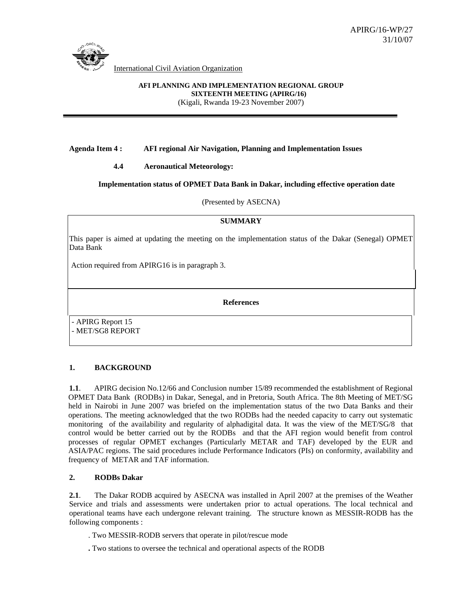

International Civil Aviation Organization

# **AFI PLANNING AND IMPLEMENTATION REGIONAL GROUP SIXTEENTH MEETING (APIRG/16)**

(Kigali, Rwanda 19-23 November 2007)

### **Agenda Item 4 : AFI regional Air Navigation, Planning and Implementation Issues**

### **4.4 Aeronautical Meteorology:**

### **Implementation status of OPMET Data Bank in Dakar, including effective operation date**

(Presented by ASECNA)

#### **SUMMARY**

This paper is aimed at updating the meeting on the implementation status of the Dakar (Senegal) OPMET Data Bank

Action required from APIRG16 is in paragraph 3.

**References** 

- APIRG Report 15 - MET/SG8 REPORT

### **1. BACKGROUND**

**1.1**. APIRG decision No.12/66 and Conclusion number 15/89 recommended the establishment of Regional OPMET Data Bank (RODBs) in Dakar, Senegal, and in Pretoria, South Africa. The 8th Meeting of MET/SG held in Nairobi in June 2007 was briefed on the implementation status of the two Data Banks and their operations. The meeting acknowledged that the two RODBs had the needed capacity to carry out systematic monitoring of the availability and regularity of alphadigital data. It was the view of the MET/SG/8 that control would be better carried out by the RODBs and that the AFI region would benefit from control processes of regular OPMET exchanges (Particularly METAR and TAF) developed by the EUR and ASIA/PAC regions. The said procedures include Performance Indicators (PIs) on conformity, availability and frequency of METAR and TAF information.

### **2. RODBs Dakar**

**2.1**. The Dakar RODB acquired by ASECNA was installed in April 2007 at the premises of the Weather Service and trials and assessments were undertaken prior to actual operations. The local technical and operational teams have each undergone relevant training. The structure known as MESSIR-RODB has the following components :

. Two MESSIR-RODB servers that operate in pilot/rescue mode

**.** Two stations to oversee the technical and operational aspects of the RODB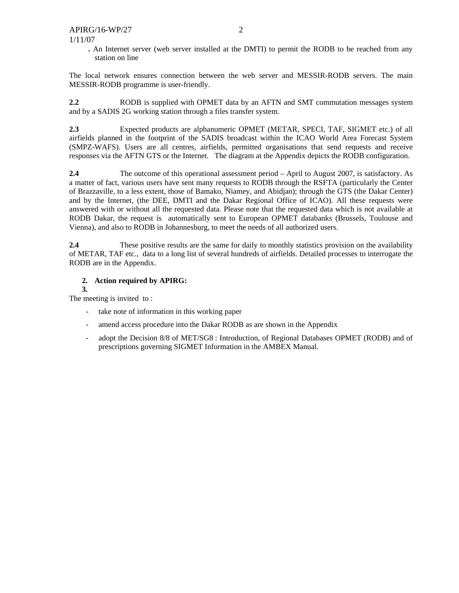**.** An Internet server (web server installed at the DMTI) to permit the RODB to be reached from any station on line

The local network ensures connection between the web server and MESSIR-RODB servers. The main MESSIR-RODB programme is user-friendly.

**2.2** RODB is supplied with OPMET data by an AFTN and SMT commutation messages system and by a SADIS 2G working station through a files transfer system.

**2.3** Expected products are alphanumeric OPMET (METAR, SPECI, TAF, SIGMET etc.) of all airfields planned in the footprint of the SADIS broadcast within the ICAO World Area Forecast System (SMPZ-WAFS). Users are all centres, airfields, permitted organisations that send requests and receive responses via the AFTN GTS or the Internet. The diagram at the Appendix depicts the RODB configuration.

2.4 **The outcome of this operational assessment period – April to August 2007, is satisfactory. As** a matter of fact, various users have sent many requests to RODB through the RSFTA (particularly the Center of Brazzaville, to a less extent, those of Bamako, Niamey, and Abidjan); through the GTS (the Dakar Center) and by the Internet, (the DEE, DMTI and the Dakar Regional Office of ICAO). All these requests were answered with or without all the requested data. Please note that the requested data which is not available at RODB Dakar, the request is automatically sent to European OPMET databanks (Brussels, Toulouse and Vienna), and also to RODB in Johannesburg, to meet the needs of all authorized users.

**2.4 These positive results are the same for daily to monthly statistics provision on the availability** of METAR, TAF etc., data to a long list of several hundreds of airfields. Detailed processes to interrogate the RODB are in the Appendix.

### **2. Action required by APIRG:**

#### **3.**

The meeting is invited to :

- take note of information in this working paper
- amend access procedure into the Dakar RODB as are shown in the Appendix
- adopt the Decision 8/8 of MET/SG8 : Introduction, of Regional Databases OPMET (RODB) and of prescriptions governing SIGMET Information in the AMBEX Manual.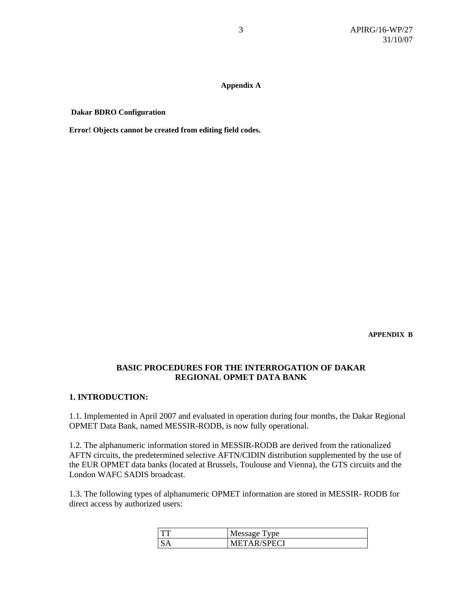#### **Appendix A**

 **Dakar BDRO Configuration** 

**Error! Objects cannot be created from editing field codes.**

**APPENDIX B** 

## **BASIC PROCEDURES FOR THE INTERROGATION OF DAKAR REGIONAL OPMET DATA BANK**

## **1. INTRODUCTION:**

1.1. Implemented in April 2007 and evaluated in operation during four months, the Dakar Regional OPMET Data Bank, named MESSIR-RODB, is now fully operational.

1.2. The alphanumeric information stored in MESSIR-RODB are derived from the rationalized AFTN circuits, the predetermined selective AFTN/CIDIN distribution supplemented by the use of the EUR OPMET data banks (located at Brussels, Toulouse and Vienna), the GTS circuits and the London WAFC SADIS broadcast.

1.3. The following types of alphanumeric OPMET information are stored in MESSIR- RODB for direct access by authorized users:

|           | Message Type       |
|-----------|--------------------|
| <b>SA</b> | <b>METAR/SPECI</b> |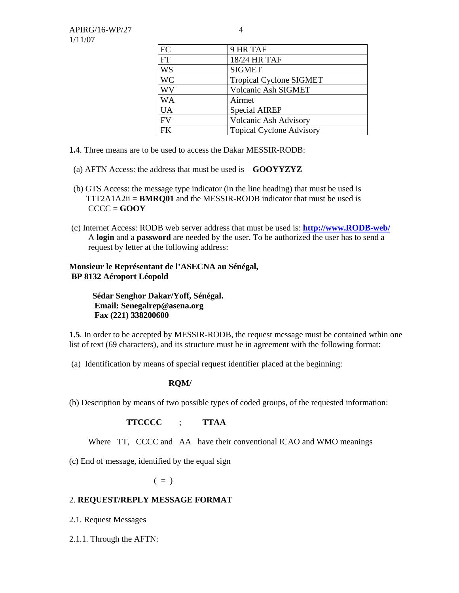| FC        | 9 HR TAF                        |
|-----------|---------------------------------|
| FT        | 18/24 HR TAF                    |
| WS        | <b>SIGMET</b>                   |
| <b>WC</b> | <b>Tropical Cyclone SIGMET</b>  |
| WV        | Volcanic Ash SIGMET             |
| WA        | Airmet                          |
| <b>UA</b> | <b>Special AIREP</b>            |
| FV        | <b>Volcanic Ash Advisory</b>    |
| FK        | <b>Topical Cyclone Advisory</b> |

- **1.4**. Three means are to be used to access the Dakar MESSIR-RODB:
- (a) AFTN Access: the address that must be used is **GOOYYZYZ**
- (b) GTS Access: the message type indicator (in the line heading) that must be used is T1T2A1A2ii = **BMRQ01** and the MESSIR-RODB indicator that must be used is CCCC = **GOOY**
- (c) Internet Access: RODB web server address that must be used is: **http://www.RODB-web/** A **login** and a **password** are needed by the user. To be authorized the user has to send a request by letter at the following address:

### **Monsieur le Représentant de l'ASECNA au Sénégal, BP 8132 Aéroport Léopold**

 **Sédar Senghor Dakar/Yoff, Sénégal. Email: Senegalrep@asena.org Fax (221) 338200600** 

**1.5**. In order to be accepted by MESSIR-RODB, the request message must be contained wthin one list of text (69 characters), and its structure must be in agreement with the following format:

(a) Identification by means of special request identifier placed at the beginning:

### **RQM/**

(b) Description by means of two possible types of coded groups, of the requested information:

### **TTCCCC** ; **TTAA**

Where TT, CCCC and AA have their conventional ICAO and WMO meanings

(c) End of message, identified by the equal sign

 $($  =  $)$ 

### 2. **REQUEST/REPLY MESSAGE FORMAT**

- 2.1. Request Messages
- 2.1.1. Through the AFTN: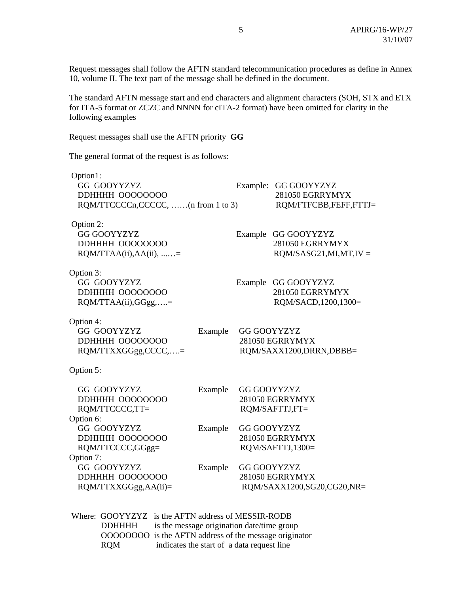Request messages shall follow the AFTN standard telecommunication procedures as define in Annex 10, volume II. The text part of the message shall be defined in the document.

The standard AFTN message start and end characters and alignment characters (SOH, STX and ETX for ITA-5 format or ZCZC and NNNN for cITA-2 format) have been omitted for clarity in the following examples

Request messages shall use the AFTN priority **GG**

The general format of the request is as follows:

| Option1:                           |         |                    |                            |
|------------------------------------|---------|--------------------|----------------------------|
| GG GOOYYZYZ                        |         | Example:           | GG GOOYYZYZ                |
| <b>DDHHHH 00000000</b>             |         |                    | 281050 EGRRYMYX            |
| RQM/TTCCCCn,CCCCC, (n from 1 to 3) |         |                    | ROM/FTFCBB,FEFF,FTTJ=      |
| Option 2:                          |         |                    |                            |
| <b>GG GOOYYZYZ</b>                 |         | Example            | GG GOOYYZYZ                |
| DDHHHH 00000000                    |         |                    | 281050 EGRRYMYX            |
| $RQM/TTAA(ii),AA(ii),$ =           |         |                    | $RQM/SASG21, MI, MT, IV =$ |
| Option 3:                          |         |                    |                            |
| GG GOOYYZYZ                        |         |                    | Example GG GOOYYZYZ        |
| <b>DDHHHH 00000000</b>             |         |                    | 281050 EGRRYMYX            |
| $RQM/TTAA(ii), GGgg,$ =            |         |                    | RQM/SACD, 1200, 1300=      |
| Option 4:                          |         |                    |                            |
| GG GOOYYZYZ                        | Example | <b>GG GOOYYZYZ</b> |                            |
| <b>DDHHHH 00000000</b>             |         |                    | 281050 EGRRYMYX            |
| RQM/TTXXGGgg,CCCC,=                |         |                    | RQM/SAXX1200, DRRN, DBBB=  |
| Option 5:                          |         |                    |                            |
| GG GOOYYZYZ                        | Example | <b>GG GOOYYZYZ</b> |                            |
| <b>DDHHHH 00000000</b>             |         |                    | 281050 EGRRYMYX            |
| RQM/TTCCCC,TT=                     |         |                    | RQM/SAFTTJ,FT=             |
| Option 6:                          |         |                    |                            |
| GG GOOYYZYZ                        | Example | <b>GG GOOYYZYZ</b> |                            |
| DDHHHH 00000000                    |         |                    | 281050 EGRRYMYX            |
| RQM/TTCCCC,GGgg=                   |         |                    | RQM/SAFTTJ,1300=           |
| Option 7:                          |         |                    |                            |
| GG GOOYYZYZ                        | Example | GG GOOYYZYZ        |                            |
| DDHHHH 00000000                    |         |                    | 281050 EGRRYMYX            |
| RQM/TTXXGGgg,AA(ii)=               |         |                    | RQM/SAXX1200,SG20,CG20,NR= |

 Where: GOOYYZYZ is the AFTN address of MESSIR-RODB DDHHHH is the message origination date/time group OOOOOOOO is the AFTN address of the message originator RQM indicates the start of a data request line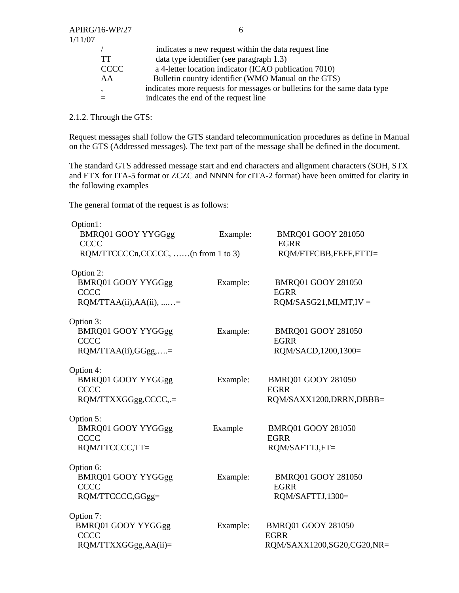| 1/11/07 |             |                                                                          |
|---------|-------------|--------------------------------------------------------------------------|
|         |             | indicates a new request within the data request line                     |
|         | TT          | data type identifier (see paragraph 1.3)                                 |
|         | <b>CCCC</b> | a 4-letter location indicator (ICAO publication 7010)                    |
|         | AA          | Bulletin country identifier (WMO Manual on the GTS)                      |
|         |             | indicates more requests for messages or bulletins for the same data type |
|         |             | indicates the end of the request line                                    |
|         |             |                                                                          |

2.1.2. Through the GTS:

Request messages shall follow the GTS standard telecommunication procedures as define in Manual on the GTS (Addressed messages). The text part of the message shall be defined in the document.

The standard GTS addressed message start and end characters and alignment characters (SOH, STX and ETX for ITA-5 format or ZCZC and NNNN for cITA-2 format) have been omitted for clarity in the following examples

The general format of the request is as follows:

| Option1:                                 |          |                                          |
|------------------------------------------|----------|------------------------------------------|
| BMRQ01 GOOY YYGGgg<br><b>CCCC</b>        | Example: | BMRQ01 GOOY 281050<br><b>EGRR</b>        |
| RQM/TTCCCCn,CCCCC, (n from 1 to 3)       |          | RQM/FTFCBB,FEFF,FTTJ=                    |
| Option 2:                                |          |                                          |
| <b>BMRQ01 GOOY YYGGgg</b><br><b>CCCC</b> | Example: | BMRQ01 GOOY 281050<br><b>EGRR</b>        |
| $RQM/TTAA(ii),AA(ii),$ =                 |          | $RQM/SASG21, MI, MT, IV =$               |
| Option 3:                                |          |                                          |
| <b>BMRQ01 GOOY YYGGgg</b><br><b>CCCC</b> | Example: | <b>BMRQ01 GOOY 281050</b><br><b>EGRR</b> |
| RQM/TTAA(ii),GGgg,=                      |          | RQM/SACD, 1200, 1300=                    |
| Option 4:                                |          |                                          |
| <b>BMRQ01 GOOY YYGGgg</b><br><b>CCCC</b> | Example: | <b>BMRQ01 GOOY 281050</b><br><b>EGRR</b> |
| RQM/TTXXGGgg,CCCC,.=                     |          | RQM/SAXX1200, DRRN, DBBB=                |
| Option 5:                                |          |                                          |
| <b>BMRQ01 GOOY YYGGgg</b><br><b>CCCC</b> | Example  | <b>BMRQ01 GOOY 281050</b><br><b>EGRR</b> |
| RQM/TTCCCC,TT=                           |          | RQM/SAFTTJ,FT=                           |
| Option 6:                                |          |                                          |
| <b>BMRQ01 GOOY YYGGgg</b><br><b>CCCC</b> | Example: | <b>BMRQ01 GOOY 281050</b><br><b>EGRR</b> |
| RQM/TTCCCC,GGgg=                         |          | RQM/SAFTTJ,1300=                         |
| Option 7:                                |          |                                          |
| <b>BMRQ01 GOOY YYGGgg</b><br><b>CCCC</b> | Example: | <b>BMRQ01 GOOY 281050</b><br><b>EGRR</b> |
| RQM/TTXXGGgg,AA(ii)=                     |          | RQM/SAXX1200,SG20,CG20,NR=               |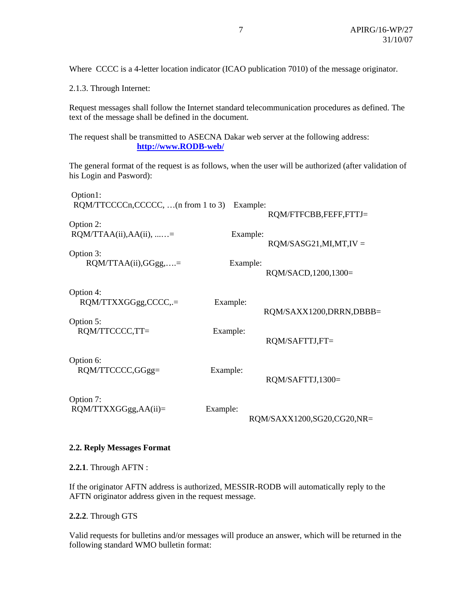Where CCCC is a 4-letter location indicator (ICAO publication 7010) of the message originator.

2.1.3. Through Internet:

Request messages shall follow the Internet standard telecommunication procedures as defined. The text of the message shall be defined in the document.

The request shall be transmitted to ASECNA Dakar web server at the following address: **http://www.RODB-web/**

The general format of the request is as follows, when the user will be authorized (after validation of his Login and Pasword):

| Option1:                            |          |                            |
|-------------------------------------|----------|----------------------------|
| RQM/TTCCCCn,CCCCC,  (n from 1 to 3) | Example: | RQM/FTFCBB,FEFF,FTTJ=      |
| Option 2:                           |          |                            |
| $RQM/TTAA(ii),AA(ii),$ =            | Example: |                            |
| Option 3:                           |          | $RQM/SASG21, MI, MT, IV =$ |
| $RQM/TTAA(ii), GGgg,$ =             | Example: |                            |
|                                     |          | RQM/SACD, 1200, 1300=      |
| Option 4:                           |          |                            |
| RQM/TTXXGGgg,CCCC,.=                | Example: | RQM/SAXX1200,DRRN,DBBB=    |
| Option 5:                           |          |                            |
| RQM/TTCCCC,TT=                      | Example: |                            |
|                                     |          | RQM/SAFTTJ,FT=             |
| Option 6:                           |          |                            |
| RQM/TTCCCC,GGgg=                    | Example: | RQM/SAFTTJ,1300=           |
|                                     |          |                            |
| Option 7:                           |          |                            |
| $RQM/TTXXGGgg,AA(ii)=$              | Example: | RQM/SAXX1200,SG20,CG20,NR= |
|                                     |          |                            |

### **2.2. Reply Messages Format**

**2.2.1**. Through AFTN :

If the originator AFTN address is authorized, MESSIR-RODB will automatically reply to the AFTN originator address given in the request message.

**2.2.2**. Through GTS

Valid requests for bulletins and/or messages will produce an answer, which will be returned in the following standard WMO bulletin format: